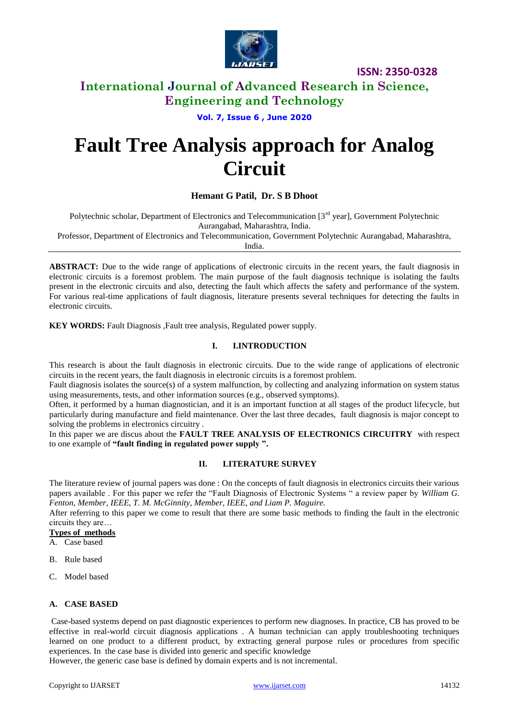

## **International Journal of Advanced Research in Science, Engineering and Technology**

**Vol. 7, Issue 6 , June 2020**

# **Fault Tree Analysis approach for Analog Circuit**

#### **Hemant G Patil, Dr. S B Dhoot**

Polytechnic scholar, Department of Electronics and Telecommunication [3<sup>rd</sup> year], Government Polytechnic Aurangabad, Maharashtra, India.

Professor, Department of Electronics and Telecommunication, Government Polytechnic Aurangabad, Maharashtra, India.

**ABSTRACT:** Due to the wide range of applications of electronic circuits in the recent years, the fault diagnosis in electronic circuits is a foremost problem. The main purpose of the fault diagnosis technique is isolating the faults present in the electronic circuits and also, detecting the fault which affects the safety and performance of the system. For various real-time applications of fault diagnosis, literature presents several techniques for detecting the faults in electronic circuits.

**KEY WORDS:** Fault Diagnosis ,Fault tree analysis, Regulated power supply.

#### **I. I.INTRODUCTION**

This research is about the fault diagnosis in electronic circuits. Due to the wide range of applications of electronic circuits in the recent years, the fault diagnosis in electronic circuits is a foremost problem.

Fault diagnosis isolates the source(s) of a system malfunction, by collecting and analyzing information on system status using measurements, tests, and other information sources (e.g., observed symptoms).

Often, it performed by a human diagnostician, and it is an important function at all stages of the product lifecycle, but particularly during manufacture and field maintenance. Over the last three decades, fault diagnosis is major concept to solving the problems in electronics circuitry .

In this paper we are discus about the **FAULT TREE ANALYSIS OF ELECTRONICS CIRCUITRY** with respect to one example of **"fault finding in regulated power supply ".** 

#### **II. LITERATURE SURVEY**

The literature review of journal papers was done : On the concepts of fault diagnosis in electronics circuits their various papers available . For this paper we refer the "Fault Diagnosis of Electronic Systems " a review paper by *William G. Fenton, Member, IEEE, T. M. McGinnity, Member, IEEE, and Liam P. Maguire.*

After referring to this paper we come to result that there are some basic methods to finding the fault in the electronic circuits they are…

#### **Types of methods**

- A. Case based
- B. Rule based
- C. Model based

#### **A. CASE BASED**

Case-based systems depend on past diagnostic experiences to perform new diagnoses. In practice, CB has proved to be effective in real-world circuit diagnosis applications . A human technician can apply troubleshooting techniques learned on one product to a different product, by extracting general purpose rules or procedures from specific experiences. In the case base is divided into generic and specific knowledge

However, the generic case base is defined by domain experts and is not incremental.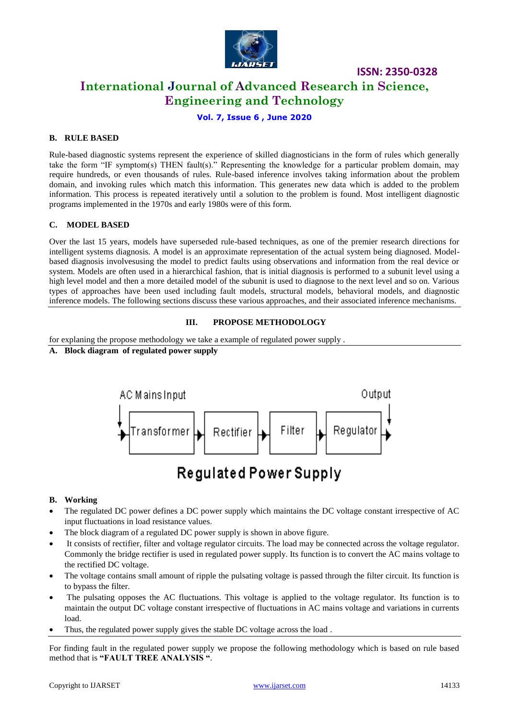

**ISSN: 2350-0328 International Journal of Advanced Research in Science, Engineering and Technology**

#### **Vol. 7, Issue 6 , June 2020**

#### **B. RULE BASED**

Rule-based diagnostic systems represent the experience of skilled diagnosticians in the form of rules which generally take the form "IF symptom(s) THEN fault(s)." Representing the knowledge for a particular problem domain, may require hundreds, or even thousands of rules. Rule-based inference involves taking information about the problem domain, and invoking rules which match this information. This generates new data which is added to the problem information. This process is repeated iteratively until a solution to the problem is found. Most intelligent diagnostic programs implemented in the 1970s and early 1980s were of this form.

#### **C. MODEL BASED**

Over the last 15 years, models have superseded rule-based techniques, as one of the premier research directions for intelligent systems diagnosis. A model is an approximate representation of the actual system being diagnosed. Modelbased diagnosis involvesusing the model to predict faults using observations and information from the real device or system. Models are often used in a hierarchical fashion, that is initial diagnosis is performed to a subunit level using a high level model and then a more detailed model of the subunit is used to diagnose to the next level and so on. Various types of approaches have been used including fault models, structural models, behavioral models, and diagnostic inference models. The following sections discuss these various approaches, and their associated inference mechanisms.

#### **III. PROPOSE METHODOLOGY**

for explaning the propose methodology we take a example of regulated power supply .

#### **A. Block diagram of regulated power supply**



## Regulated Power Supply

#### **B. Working**

- The regulated DC power defines a DC power supply which maintains the DC voltage constant irrespective of AC input fluctuations in load resistance values.
- The block diagram of a regulated DC power supply is shown in above figure.
- It consists of rectifier, filter and voltage regulator circuits. The load may be connected across the voltage regulator. Commonly the bridge rectifier is used in regulated power supply. Its function is to convert the AC mains voltage to the rectified DC voltage.
- The voltage contains small amount of ripple the pulsating voltage is passed through the filter circuit. Its function is to bypass the filter.
- The pulsating opposes the AC fluctuations. This voltage is applied to the voltage regulator. Its function is to maintain the output DC voltage constant irrespective of fluctuations in AC mains voltage and variations in currents load.
- Thus, the regulated power supply gives the stable DC voltage across the load .

For finding fault in the regulated power supply we propose the following methodology which is based on rule based method that is **"FAULT TREE ANALYSIS "**.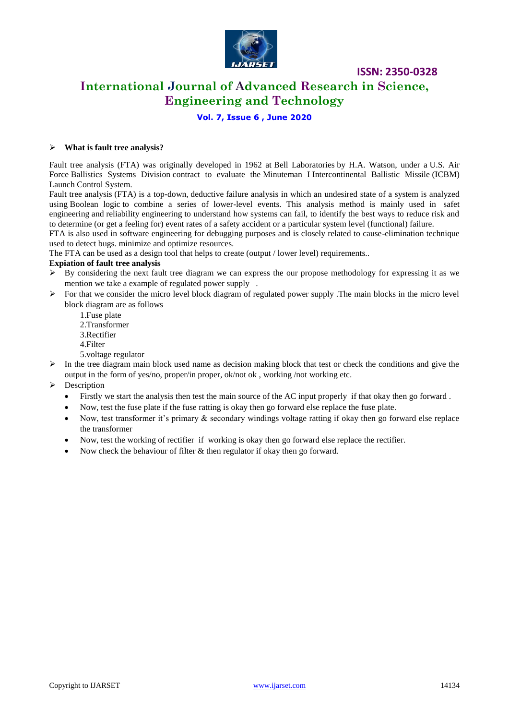

## **International Journal of Advanced Research in Science, Engineering and Technology**

#### **Vol. 7, Issue 6 , June 2020**

#### **What is fault tree analysis?**

Fault tree analysis (FTA) was originally developed in 1962 at Bell Laboratories by H.A. Watson, under a U.S. Air Force Ballistics Systems Division contract to evaluate the Minuteman I Intercontinental Ballistic Missile (ICBM) Launch Control System.

Fault tree analysis (FTA) is a top-down, deductive failure analysis in which an undesired state of a system is analyzed using Boolean logic to combine a series of lower-level events. This analysis method is mainly used in safet engineering and reliability engineering to understand how systems can fail, to identify the best ways to reduce risk and to determine (or get a feeling for) event rates of a safety accident or a particular system level (functional) failure.

FTA is also used in software engineering for debugging purposes and is closely related to cause-elimination technique used to detect bugs. minimize and optimize resources.

The FTA can be used as a design tool that helps to create (output / lower level) requirements..

#### **Expiation of fault tree analysis**

- $\triangleright$  By considering the next fault tree diagram we can express the our propose methodology for expressing it as we mention we take a example of regulated power supply .
- $\triangleright$  For that we consider the micro level block diagram of regulated power supply . The main blocks in the micro level block diagram are as follows
	- 1.Fuse plate
	- 2.Transformer
	- 3.Rectifier
	- 4.Filter
	- 5.voltage regulator
- $\triangleright$  In the tree diagram main block used name as decision making block that test or check the conditions and give the output in the form of yes/no, proper/in proper, ok/not ok , working /not working etc.
- > Description
	- Firstly we start the analysis then test the main source of the AC input properly if that okay then go forward .
	- Now, test the fuse plate if the fuse ratting is okay then go forward else replace the fuse plate.
	- Now, test transformer it's primary & secondary windings voltage ratting if okay then go forward else replace the transformer
	- Now, test the working of rectifier if working is okay then go forward else replace the rectifier.
	- Now check the behaviour of filter & then regulator if okay then go forward.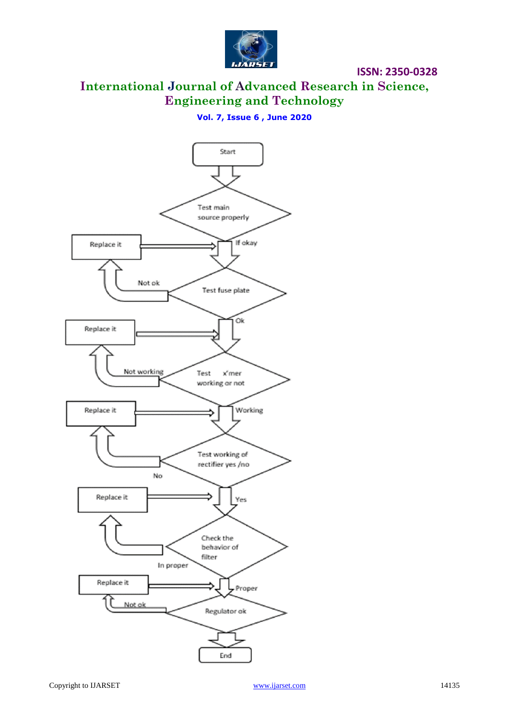

**International Journal of Advanced Research in Science, Engineering and Technology**

### **Vol. 7, Issue 6 , June 2020**